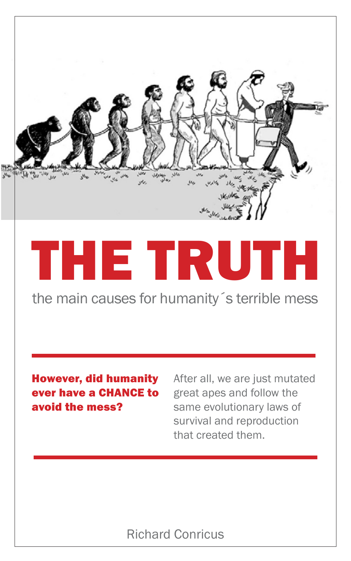

# THE TRUTH

the main causes for humanity´s terrible mess

#### However, did humanity ever have a CHANCE to avoid the mess?

After all, we are just mutated great apes and follow the same evolutionary laws of survival and reproduction that created them.

#### Richard Conricus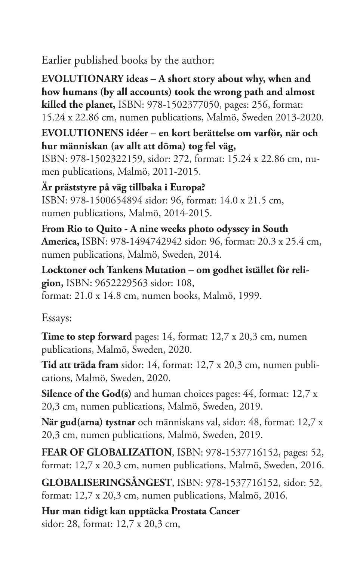Earlier published books by the author:

**EVOLUTIONARY ideas – A short story about why, when and how humans (by all accounts) took the wrong path and almost killed the planet,** ISBN: 978-1502377050, pages: 256, format: 15.24 x 22.86 cm, numen publications, Malmö, Sweden 2013-2020.

**EVOLUTIONENS idéer – en kort berättelse om varför, när och hur människan (av allt att döma) tog fel väg,** 

ISBN: 978-1502322159, sidor: 272, format: 15.24 x 22.86 cm, numen publications, Malmö, 2011-2015.

**Är präststyre på väg tillbaka i Europa?** ISBN: 978-1500654894 sidor: 96, format: 14.0 x 21.5 cm, numen publications, Malmö, 2014-2015.

**From Rio to Quito - A nine weeks photo odyssey in South America,** ISBN: 978-1494742942 sidor: 96, format: 20.3 x 25.4 cm, numen publications, Malmö, Sweden, 2014.

**Locktoner och Tankens Mutation – om godhet istället för religion,** ISBN: 9652229563 sidor: 108, format: 21.0 x 14.8 cm, numen books, Malmö, 1999.

Essays:

**Time to step forward** pages: 14, format: 12,7 x 20,3 cm, numen publications, Malmö, Sweden, 2020.

**Tid att träda fram** sidor: 14, format: 12,7 x 20,3 cm, numen publications, Malmö, Sweden, 2020.

**Silence of the God(s)** and human choices pages: 44, format: 12,7 x 20,3 cm, numen publications, Malmö, Sweden, 2019.

**När gud(arna) tystnar** och människans val, sidor: 48, format: 12,7 x 20,3 cm, numen publications, Malmö, Sweden, 2019.

**FEAR OF GLOBALIZATION**, ISBN: 978-1537716152, pages: 52, format: 12,7 x 20,3 cm, numen publications, Malmö, Sweden, 2016.

**GLOBALISERINGSÅNGEST**, ISBN: 978-1537716152, sidor: 52, format: 12,7 x 20,3 cm, numen publications, Malmö, 2016.

**Hur man tidigt kan upptäcka Prostata Cancer** sidor: 28, format: 12,7 x 20,3 cm,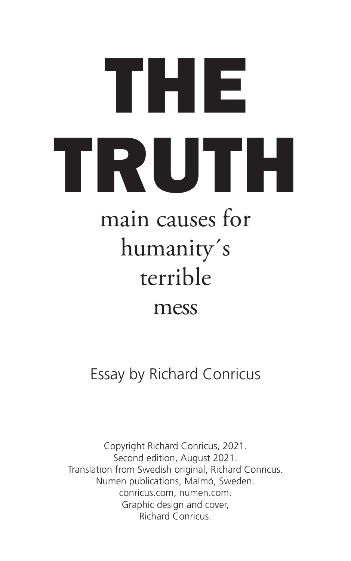## THE TRUTH main causes for humanity´s terrible mess

Essay by Richard Conricus

Copyright Richard Conricus, 2021. Second edition, August 2021. Translation from Swedish original, Richard Conricus. Numen publications, Malmö, Sweden. conricus.com, numen.com. Graphic design and cover, Richard Conricus.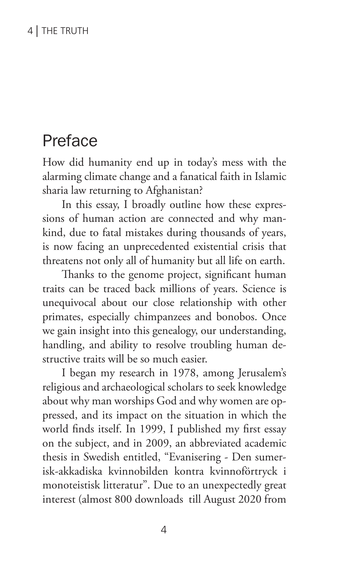#### 4 | THE TRUTH

### Preface

How did humanity end up in today's mess with the alarming climate change and a fanatical faith in Islamic sharia law returning to Afghanistan?

In this essay, I broadly outline how these expressions of human action are connected and why mankind, due to fatal mistakes during thousands of years, is now facing an unprecedented existential crisis that threatens not only all of humanity but all life on earth.

Thanks to the genome project, significant human traits can be traced back millions of years. Science is unequivocal about our close relationship with other primates, especially chimpanzees and bonobos. Once we gain insight into this genealogy, our understanding, handling, and ability to resolve troubling human destructive traits will be so much easier.

I began my research in 1978, among Jerusalem's religious and archaeological scholars to seek knowledge about why man worships God and why women are oppressed, and its impact on the situation in which the world finds itself. In 1999, I published my first essay on the subject, and in 2009, an abbreviated academic thesis in Swedish entitled, "Evanisering - Den sumerisk-akkadiska kvinnobilden kontra kvinnoförtryck i monoteistisk litteratur". Due to an unexpectedly great interest (almost 800 downloads till August 2020 from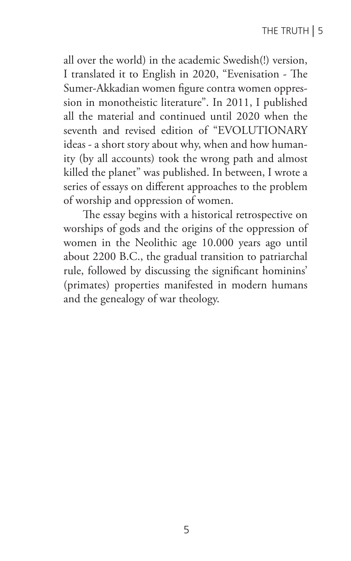all over the world) in the academic Swedish(!) version, I translated it to English in 2020, "Evenisation - The Sumer-Akkadian women figure contra women oppression in monotheistic literature". In 2011, I published all the material and continued until 2020 when the seventh and revised edition of "EVOLUTIONARY ideas - a short story about why, when and how humanity (by all accounts) took the wrong path and almost killed the planet" was published. In between, I wrote a series of essays on different approaches to the problem of worship and oppression of women.

The essay begins with a historical retrospective on worships of gods and the origins of the oppression of women in the Neolithic age 10.000 years ago until about 2200 B.C., the gradual transition to patriarchal rule, followed by discussing the significant hominins' (primates) properties manifested in modern humans and the genealogy of war theology.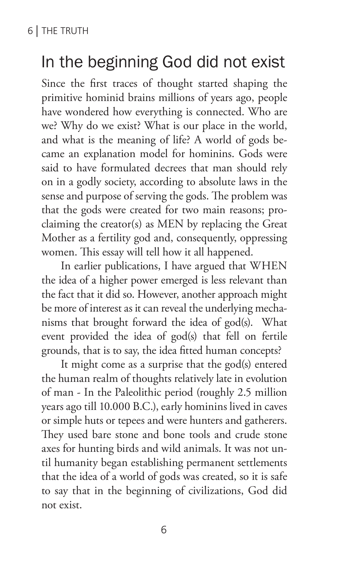## In the beginning God did not exist

Since the first traces of thought started shaping the primitive hominid brains millions of years ago, people have wondered how everything is connected. Who are we? Why do we exist? What is our place in the world, and what is the meaning of life? A world of gods became an explanation model for hominins. Gods were said to have formulated decrees that man should rely on in a godly society, according to absolute laws in the sense and purpose of serving the gods. The problem was that the gods were created for two main reasons; proclaiming the creator(s) as MEN by replacing the Great Mother as a fertility god and, consequently, oppressing women. This essay will tell how it all happened.

In earlier publications, I have argued that WHEN the idea of a higher power emerged is less relevant than the fact that it did so. However, another approach might be more of interest as it can reveal the underlying mechanisms that brought forward the idea of god(s). What event provided the idea of god(s) that fell on fertile grounds, that is to say, the idea fitted human concepts?

It might come as a surprise that the god(s) entered the human realm of thoughts relatively late in evolution of man - In the Paleolithic period (roughly 2.5 million years ago till 10.000 B.C.), early hominins lived in caves or simple huts or tepees and were hunters and gatherers. They used bare stone and bone tools and crude stone axes for hunting birds and wild animals. It was not until humanity began establishing permanent settlements that the idea of a world of gods was created, so it is safe to say that in the beginning of civilizations, God did not exist.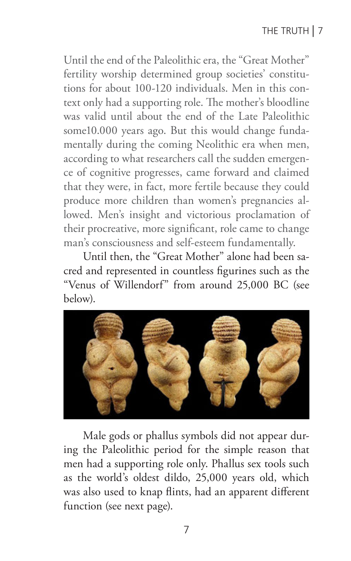Until the end of the Paleolithic era, the "Great Mother" fertility worship determined group societies' constitutions for about 100-120 individuals. Men in this context only had a supporting role. The mother's bloodline was valid until about the end of the Late Paleolithic some10.000 years ago. But this would change fundamentally during the coming Neolithic era when men, according to what researchers call the sudden emergence of cognitive progresses, came forward and claimed that they were, in fact, more fertile because they could produce more children than women's pregnancies allowed. Men's insight and victorious proclamation of their procreative, more significant, role came to change man's consciousness and self-esteem fundamentally.

Until then, the "Great Mother" alone had been sacred and represented in countless figurines such as the "Venus of Willendorf" from around 25,000 BC (see below).



Male gods or phallus symbols did not appear during the Paleolithic period for the simple reason that men had a supporting role only. Phallus sex tools such as the world's oldest dildo, 25,000 years old, which was also used to knap flints, had an apparent different function (see next page).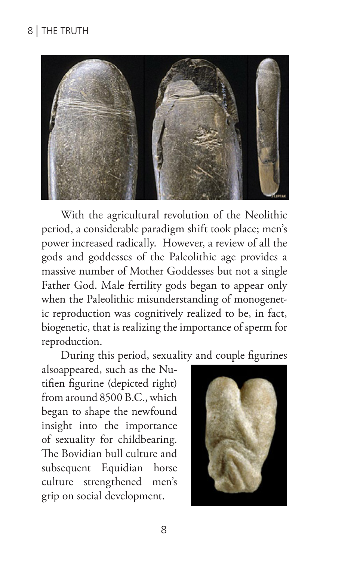

With the agricultural revolution of the Neolithic period, a considerable paradigm shift took place; men's power increased radically. However, a review of all the gods and goddesses of the Paleolithic age provides a massive number of Mother Goddesses but not a single Father God. Male fertility gods began to appear only when the Paleolithic misunderstanding of monogenetic reproduction was cognitively realized to be, in fact, biogenetic, that is realizing the importance of sperm for reproduction.

During this period, sexuality and couple figurines

alsoappeared, such as the Nutifien figurine (depicted right) from around 8500 B.C., which began to shape the newfound insight into the importance of sexuality for childbearing. The Bovidian bull culture and subsequent Equidian horse culture strengthened men's grip on social development.

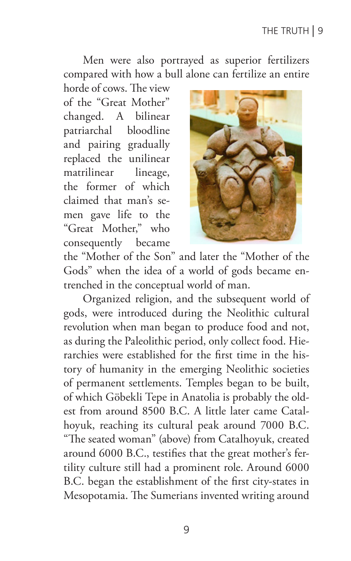Men were also portrayed as superior fertilizers compared with how a bull alone can fertilize an entire

horde of cows. The view of the "Great Mother" changed. A bilinear patriarchal bloodline and pairing gradually replaced the unilinear matrilinear lineage, the former of which claimed that man's semen gave life to the "Great Mother," who consequently became



the "Mother of the Son" and later the "Mother of the Gods" when the idea of a world of gods became entrenched in the conceptual world of man.

Organized religion, and the subsequent world of gods, were introduced during the Neolithic cultural revolution when man began to produce food and not, as during the Paleolithic period, only collect food. Hierarchies were established for the first time in the history of humanity in the emerging Neolithic societies of permanent settlements. Temples began to be built, of which Göbekli Tepe in Anatolia is probably the oldest from around 8500 B.C. A little later came Catalhoyuk, reaching its cultural peak around 7000 B.C. "The seated woman" (above) from Catalhoyuk, created around 6000 B.C., testifies that the great mother's fertility culture still had a prominent role. Around 6000 B.C. began the establishment of the first city-states in Mesopotamia. The Sumerians invented writing around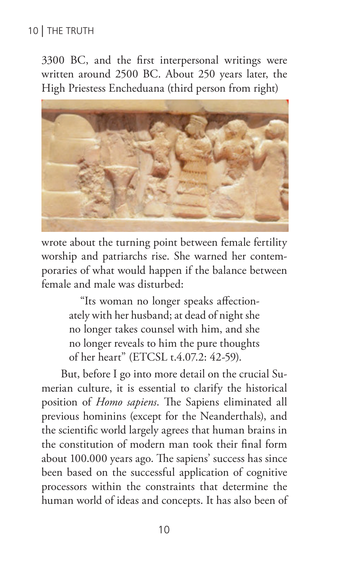#### 10 | THE TRUTH

3300 BC, and the first interpersonal writings were written around 2500 BC. About 250 years later, the High Priestess Encheduana (third person from right)



wrote about the turning point between female fertility worship and patriarchs rise. She warned her contemporaries of what would happen if the balance between female and male was disturbed:

> "Its woman no longer speaks affectionately with her husband; at dead of night she no longer takes counsel with him, and she no longer reveals to him the pure thoughts of her heart" (ETCSL t.4.07.2: 42-59).

But, before I go into more detail on the crucial Sumerian culture, it is essential to clarify the historical position of *Homo sapiens*. The Sapiens eliminated all previous hominins (except for the Neanderthals), and the scientific world largely agrees that human brains in the constitution of modern man took their final form about 100.000 years ago. The sapiens' success has since been based on the successful application of cognitive processors within the constraints that determine the human world of ideas and concepts. It has also been of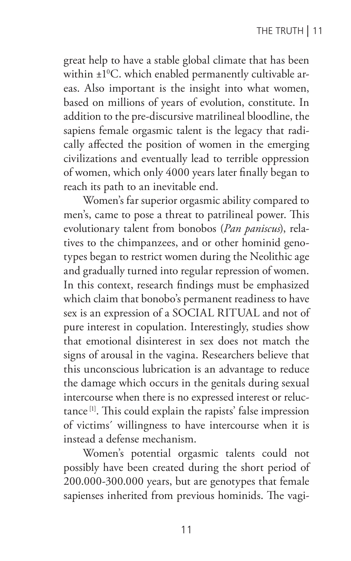great help to have a stable global climate that has been within  $\pm 1^{\rm o}$ C. which enabled permanently cultivable areas. Also important is the insight into what women, based on millions of years of evolution, constitute. In addition to the pre-discursive matrilineal bloodline, the sapiens female orgasmic talent is the legacy that radically affected the position of women in the emerging civilizations and eventually lead to terrible oppression of women, which only 4000 years later finally began to reach its path to an inevitable end.

Women's far superior orgasmic ability compared to men's, came to pose a threat to patrilineal power. This evolutionary talent from bonobos (*Pan paniscus*), relatives to the chimpanzees, and or other hominid genotypes began to restrict women during the Neolithic age and gradually turned into regular repression of women. In this context, research findings must be emphasized which claim that bonobo's permanent readiness to have sex is an expression of a SOCIAL RITUAL and not of pure interest in copulation. Interestingly, studies show that emotional disinterest in sex does not match the signs of arousal in the vagina. Researchers believe that this unconscious lubrication is an advantage to reduce the damage which occurs in the genitals during sexual intercourse when there is no expressed interest or reluctance [1]. This could explain the rapists' false impression of victims´ willingness to have intercourse when it is instead a defense mechanism.

Women's potential orgasmic talents could not possibly have been created during the short period of 200.000-300.000 years, but are genotypes that female sapienses inherited from previous hominids. The vagi-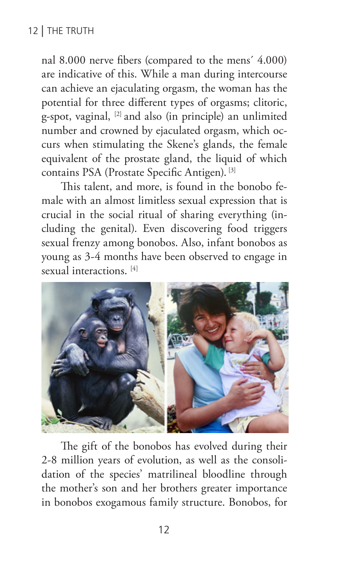#### 12 | THE TRUTH

nal 8.000 nerve fibers (compared to the mens´ 4.000) are indicative of this. While a man during intercourse can achieve an ejaculating orgasm, the woman has the potential for three different types of orgasms; clitoric, g-spot, vaginal, [2] and also (in principle) an unlimited number and crowned by ejaculated orgasm, which occurs when stimulating the Skene's glands, the female equivalent of the prostate gland, the liquid of which contains PSA (Prostate Specific Antigen). [3]

This talent, and more, is found in the bonobo female with an almost limitless sexual expression that is crucial in the social ritual of sharing everything (including the genital). Even discovering food triggers sexual frenzy among bonobos. Also, infant bonobos as young as 3-4 months have been observed to engage in sexual interactions.<sup>[4]</sup>



The gift of the bonobos has evolved during their 2-8 million years of evolution, as well as the consolidation of the species' matrilineal bloodline through the mother's son and her brothers greater importance in bonobos exogamous family structure. Bonobos, for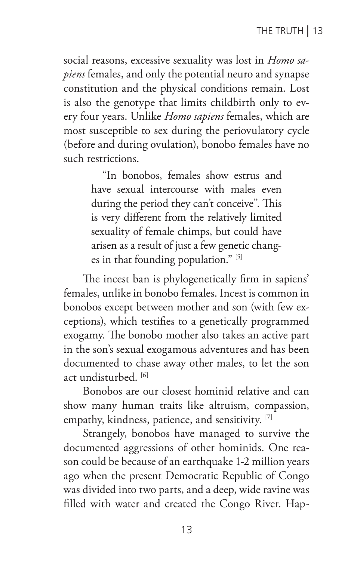social reasons, excessive sexuality was lost in *Homo sapiens* females, and only the potential neuro and synapse constitution and the physical conditions remain. Lost is also the genotype that limits childbirth only to every four years. Unlike *Homo sapiens* females, which are most susceptible to sex during the periovulatory cycle (before and during ovulation), bonobo females have no such restrictions.

> "In bonobos, females show estrus and have sexual intercourse with males even during the period they can't conceive". This is very different from the relatively limited sexuality of female chimps, but could have arisen as a result of just a few genetic changes in that founding population." [5]

The incest ban is phylogenetically firm in sapiens' females, unlike in bonobo females. Incest is common in bonobos except between mother and son (with few exceptions), which testifies to a genetically programmed exogamy. The bonobo mother also takes an active part in the son's sexual exogamous adventures and has been documented to chase away other males, to let the son act undisturbed. [6]

Bonobos are our closest hominid relative and can show many human traits like altruism, compassion, empathy, kindness, patience, and sensitivity. [7]

Strangely, bonobos have managed to survive the documented aggressions of other hominids. One reason could be because of an earthquake 1-2 million years ago when the present Democratic Republic of Congo was divided into two parts, and a deep, wide ravine was filled with water and created the Congo River. Hap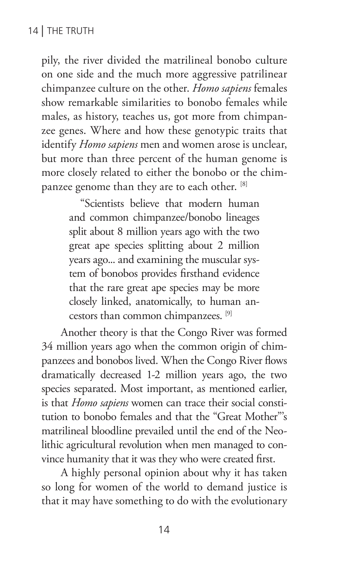pily, the river divided the matrilineal bonobo culture on one side and the much more aggressive patrilinear chimpanzee culture on the other. *Homo sapiens* females show remarkable similarities to bonobo females while males, as history, teaches us, got more from chimpanzee genes. Where and how these genotypic traits that identify *Homo sapiens* men and women arose is unclear, but more than three percent of the human genome is more closely related to either the bonobo or the chimpanzee genome than they are to each other. [8]

> "Scientists believe that modern human and common chimpanzee/bonobo lineages split about 8 million years ago with the two great ape species splitting about 2 million years ago... and examining the muscular system of bonobos provides firsthand evidence that the rare great ape species may be more closely linked, anatomically, to human ancestors than common chimpanzees. [9]

Another theory is that the Congo River was formed 34 million years ago when the common origin of chimpanzees and bonobos lived. When the Congo River flows dramatically decreased 1-2 million years ago, the two species separated. Most important, as mentioned earlier, is that *Homo sapiens* women can trace their social constitution to bonobo females and that the "Great Mother"'s matrilineal bloodline prevailed until the end of the Neolithic agricultural revolution when men managed to convince humanity that it was they who were created first.

A highly personal opinion about why it has taken so long for women of the world to demand justice is that it may have something to do with the evolutionary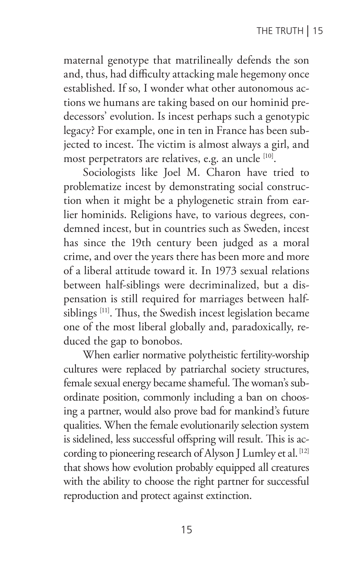maternal genotype that matrilineally defends the son and, thus, had difficulty attacking male hegemony once established. If so, I wonder what other autonomous actions we humans are taking based on our hominid predecessors' evolution. Is incest perhaps such a genotypic legacy? For example, one in ten in France has been subjected to incest. The victim is almost always a girl, and most perpetrators are relatives, e.g. an uncle [10].

Sociologists like Joel M. Charon have tried to problematize incest by demonstrating social construction when it might be a phylogenetic strain from earlier hominids. Religions have, to various degrees, condemned incest, but in countries such as Sweden, incest has since the 19th century been judged as a moral crime, and over the years there has been more and more of a liberal attitude toward it. In 1973 sexual relations between half-siblings were decriminalized, but a dispensation is still required for marriages between halfsiblings [11]. Thus, the Swedish incest legislation became one of the most liberal globally and, paradoxically, reduced the gap to bonobos.

When earlier normative polytheistic fertility-worship cultures were replaced by patriarchal society structures, female sexual energy became shameful. The woman's subordinate position, commonly including a ban on choosing a partner, would also prove bad for mankind's future qualities. When the female evolutionarily selection system is sidelined, less successful offspring will result. This is according to pioneering research of Alyson J Lumley et al. [12] that shows how evolution probably equipped all creatures with the ability to choose the right partner for successful reproduction and protect against extinction.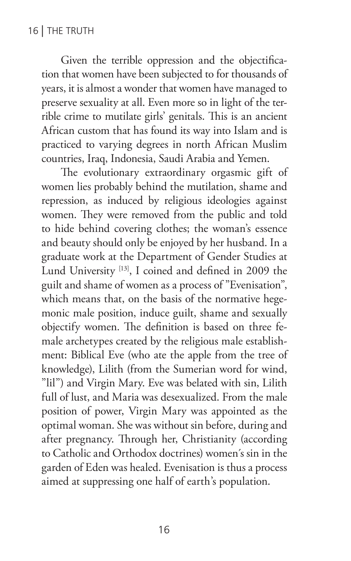Given the terrible oppression and the objectification that women have been subjected to for thousands of years, it is almost a wonder that women have managed to preserve sexuality at all. Even more so in light of the terrible crime to mutilate girls' genitals. This is an ancient African custom that has found its way into Islam and is practiced to varying degrees in north African Muslim countries, Iraq, Indonesia, Saudi Arabia and Yemen.

The evolutionary extraordinary orgasmic gift of women lies probably behind the mutilation, shame and repression, as induced by religious ideologies against women. They were removed from the public and told to hide behind covering clothes; the woman's essence and beauty should only be enjoyed by her husband. In a graduate work at the Department of Gender Studies at Lund University [13], I coined and defined in 2009 the guilt and shame of women as a process of "Evenisation", which means that, on the basis of the normative hegemonic male position, induce guilt, shame and sexually objectify women. The definition is based on three female archetypes created by the religious male establishment: Biblical Eve (who ate the apple from the tree of knowledge), Lilith (from the Sumerian word for wind, "lil") and Virgin Mary. Eve was belated with sin, Lilith full of lust, and Maria was desexualized. From the male position of power, Virgin Mary was appointed as the optimal woman. She was without sin before, during and after pregnancy. Through her, Christianity (according to Catholic and Orthodox doctrines) women´s sin in the garden of Eden was healed. Evenisation is thus a process aimed at suppressing one half of earth's population.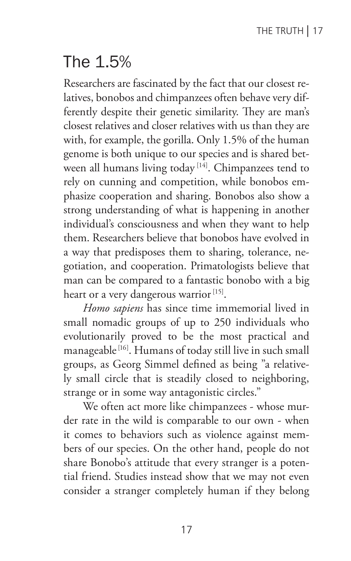## The 1.5%

Researchers are fascinated by the fact that our closest relatives, bonobos and chimpanzees often behave very differently despite their genetic similarity. They are man's closest relatives and closer relatives with us than they are with, for example, the gorilla. Only 1.5% of the human genome is both unique to our species and is shared between all humans living today<sup>[14]</sup>. Chimpanzees tend to rely on cunning and competition, while bonobos emphasize cooperation and sharing. Bonobos also show a strong understanding of what is happening in another individual's consciousness and when they want to help them. Researchers believe that bonobos have evolved in a way that predisposes them to sharing, tolerance, negotiation, and cooperation. Primatologists believe that man can be compared to a fantastic bonobo with a big heart or a very dangerous warrior<sup>[15]</sup>.

*Homo sapiens* has since time immemorial lived in small nomadic groups of up to 250 individuals who evolutionarily proved to be the most practical and manageable [16]. Humans of today still live in such small groups, as Georg Simmel defined as being "a relatively small circle that is steadily closed to neighboring, strange or in some way antagonistic circles."

We often act more like chimpanzees - whose murder rate in the wild is comparable to our own - when it comes to behaviors such as violence against members of our species. On the other hand, people do not share Bonobo's attitude that every stranger is a potential friend. Studies instead show that we may not even consider a stranger completely human if they belong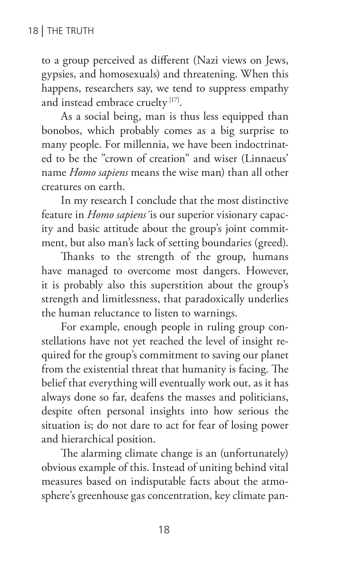to a group perceived as different (Nazi views on Jews, gypsies, and homosexuals) and threatening. When this happens, researchers say, we tend to suppress empathy and instead embrace cruelty<sup>[17]</sup>.

As a social being, man is thus less equipped than bonobos, which probably comes as a big surprise to many people. For millennia, we have been indoctrinated to be the "crown of creation" and wiser (Linnaeus' name *Homo sapiens* means the wise man) than all other creatures on earth.

In my research I conclude that the most distinctive feature in *Homo sapiens´*is our superior visionary capacity and basic attitude about the group's joint commitment, but also man's lack of setting boundaries (greed).

Thanks to the strength of the group, humans have managed to overcome most dangers. However, it is probably also this superstition about the group's strength and limitlessness, that paradoxically underlies the human reluctance to listen to warnings.

For example, enough people in ruling group constellations have not yet reached the level of insight required for the group's commitment to saving our planet from the existential threat that humanity is facing. The belief that everything will eventually work out, as it has always done so far, deafens the masses and politicians, despite often personal insights into how serious the situation is; do not dare to act for fear of losing power and hierarchical position.

The alarming climate change is an (unfortunately) obvious example of this. Instead of uniting behind vital measures based on indisputable facts about the atmosphere's greenhouse gas concentration, key climate pan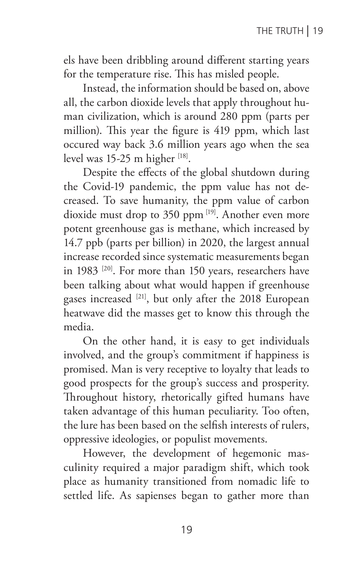els have been dribbling around different starting years for the temperature rise. This has misled people.

Instead, the information should be based on, above all, the carbon dioxide levels that apply throughout human civilization, which is around 280 ppm (parts per million). This year the figure is 419 ppm, which last occured way back 3.6 million years ago when the sea level was 15-25 m higher [18].

Despite the effects of the global shutdown during the Covid-19 pandemic, the ppm value has not decreased. To save humanity, the ppm value of carbon dioxide must drop to 350 ppm [19]. Another even more potent greenhouse gas is methane, which increased by 14.7 ppb (parts per billion) in 2020, the largest annual increase recorded since systematic measurements began in 1983 [20]. For more than 150 years, researchers have been talking about what would happen if greenhouse gases increased [21], but only after the 2018 European heatwave did the masses get to know this through the media.

On the other hand, it is easy to get individuals involved, and the group's commitment if happiness is promised. Man is very receptive to loyalty that leads to good prospects for the group's success and prosperity. Throughout history, rhetorically gifted humans have taken advantage of this human peculiarity. Too often, the lure has been based on the selfish interests of rulers, oppressive ideologies, or populist movements.

However, the development of hegemonic masculinity required a major paradigm shift, which took place as humanity transitioned from nomadic life to settled life. As sapienses began to gather more than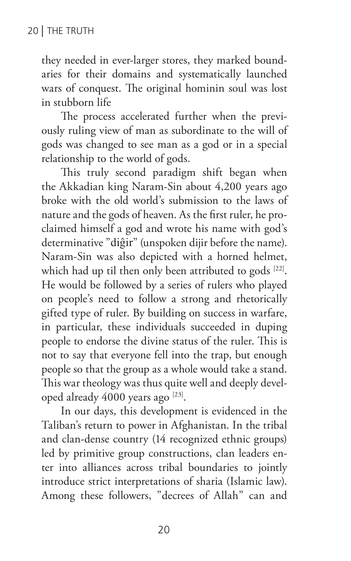they needed in ever-larger stores, they marked boundaries for their domains and systematically launched wars of conquest. The original hominin soul was lost in stubborn life

The process accelerated further when the previously ruling view of man as subordinate to the will of gods was changed to see man as a god or in a special relationship to the world of gods.

This truly second paradigm shift began when the Akkadian king Naram-Sin about 4,200 years ago broke with the old world's submission to the laws of nature and the gods of heaven. As the first ruler, he proclaimed himself a god and wrote his name with god's determinative "diĝir" (unspoken dijir before the name). Naram-Sin was also depicted with a horned helmet, which had up til then only been attributed to gods [22]. He would be followed by a series of rulers who played on people's need to follow a strong and rhetorically gifted type of ruler. By building on success in warfare, in particular, these individuals succeeded in duping people to endorse the divine status of the ruler. This is not to say that everyone fell into the trap, but enough people so that the group as a whole would take a stand. This war theology was thus quite well and deeply developed already 4000 years ago [23].

In our days, this development is evidenced in the Taliban's return to power in Afghanistan. In the tribal and clan-dense country (14 recognized ethnic groups) led by primitive group constructions, clan leaders enter into alliances across tribal boundaries to jointly introduce strict interpretations of sharia (Islamic law). Among these followers, "decrees of Allah" can and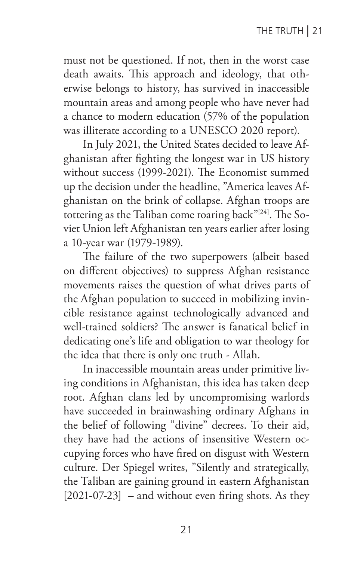must not be questioned. If not, then in the worst case death awaits. This approach and ideology, that otherwise belongs to history, has survived in inaccessible mountain areas and among people who have never had a chance to modern education (57% of the population was illiterate according to a UNESCO 2020 report).

In July 2021, the United States decided to leave Afghanistan after fighting the longest war in US history without success (1999-2021). The Economist summed up the decision under the headline, "America leaves Afghanistan on the brink of collapse. Afghan troops are tottering as the Taliban come roaring back"<sup>[24]</sup>. The Soviet Union left Afghanistan ten years earlier after losing a 10-year war (1979-1989).

The failure of the two superpowers (albeit based on different objectives) to suppress Afghan resistance movements raises the question of what drives parts of the Afghan population to succeed in mobilizing invincible resistance against technologically advanced and well-trained soldiers? The answer is fanatical belief in dedicating one's life and obligation to war theology for the idea that there is only one truth - Allah.

In inaccessible mountain areas under primitive living conditions in Afghanistan, this idea has taken deep root. Afghan clans led by uncompromising warlords have succeeded in brainwashing ordinary Afghans in the belief of following "divine" decrees. To their aid, they have had the actions of insensitive Western occupying forces who have fired on disgust with Western culture. Der Spiegel writes, "Silently and strategically, the Taliban are gaining ground in eastern Afghanistan  $[2021-07-23]$  – and without even firing shots. As they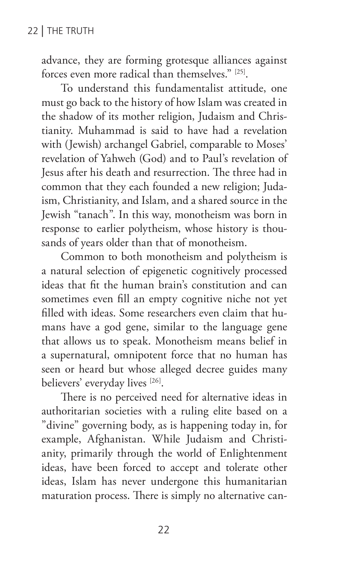advance, they are forming grotesque alliances against forces even more radical than themselves." [25].

To understand this fundamentalist attitude, one must go back to the history of how Islam was created in the shadow of its mother religion, Judaism and Christianity. Muhammad is said to have had a revelation with (Jewish) archangel Gabriel, comparable to Moses' revelation of Yahweh (God) and to Paul's revelation of Jesus after his death and resurrection. The three had in common that they each founded a new religion; Judaism, Christianity, and Islam, and a shared source in the Jewish "tanach". In this way, monotheism was born in response to earlier polytheism, whose history is thousands of years older than that of monotheism.

Common to both monotheism and polytheism is a natural selection of epigenetic cognitively processed ideas that fit the human brain's constitution and can sometimes even fill an empty cognitive niche not yet filled with ideas. Some researchers even claim that humans have a god gene, similar to the language gene that allows us to speak. Monotheism means belief in a supernatural, omnipotent force that no human has seen or heard but whose alleged decree guides many believers' everyday lives [26].

There is no perceived need for alternative ideas in authoritarian societies with a ruling elite based on a "divine" governing body, as is happening today in, for example, Afghanistan. While Judaism and Christianity, primarily through the world of Enlightenment ideas, have been forced to accept and tolerate other ideas, Islam has never undergone this humanitarian maturation process. There is simply no alternative can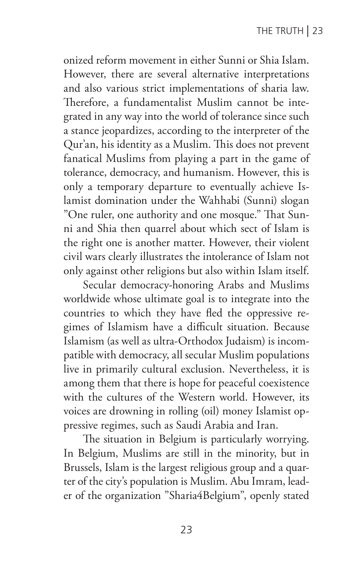onized reform movement in either Sunni or Shia Islam. However, there are several alternative interpretations and also various strict implementations of sharia law. Therefore, a fundamentalist Muslim cannot be integrated in any way into the world of tolerance since such a stance jeopardizes, according to the interpreter of the Qur'an, his identity as a Muslim. This does not prevent fanatical Muslims from playing a part in the game of tolerance, democracy, and humanism. However, this is only a temporary departure to eventually achieve Islamist domination under the Wahhabi (Sunni) slogan "One ruler, one authority and one mosque." That Sunni and Shia then quarrel about which sect of Islam is the right one is another matter. However, their violent civil wars clearly illustrates the intolerance of Islam not only against other religions but also within Islam itself.

Secular democracy-honoring Arabs and Muslims worldwide whose ultimate goal is to integrate into the countries to which they have fled the oppressive regimes of Islamism have a difficult situation. Because Islamism (as well as ultra-Orthodox Judaism) is incompatible with democracy, all secular Muslim populations live in primarily cultural exclusion. Nevertheless, it is among them that there is hope for peaceful coexistence with the cultures of the Western world. However, its voices are drowning in rolling (oil) money Islamist oppressive regimes, such as Saudi Arabia and Iran.

The situation in Belgium is particularly worrying. In Belgium, Muslims are still in the minority, but in Brussels, Islam is the largest religious group and a quarter of the city's population is Muslim. Abu Imram, leader of the organization "Sharia4Belgium", openly stated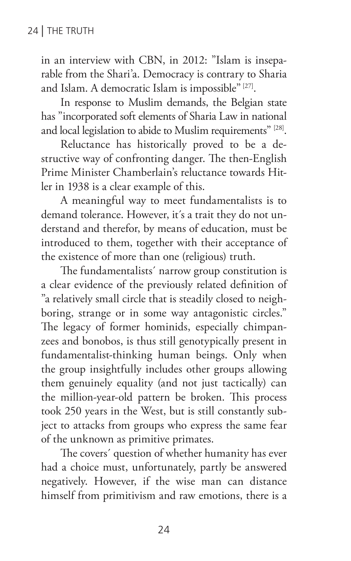in an interview with CBN, in 2012: "Islam is inseparable from the Shari'a. Democracy is contrary to Sharia and Islam. A democratic Islam is impossible" [27].

In response to Muslim demands, the Belgian state has "incorporated soft elements of Sharia Law in national and local legislation to abide to Muslim requirements" [28].

Reluctance has historically proved to be a destructive way of confronting danger. The then-English Prime Minister Chamberlain's reluctance towards Hitler in 1938 is a clear example of this.

A meaningful way to meet fundamentalists is to demand tolerance. However, it´s a trait they do not understand and therefor, by means of education, must be introduced to them, together with their acceptance of the existence of more than one (religious) truth.

The fundamentalists´ narrow group constitution is a clear evidence of the previously related definition of "a relatively small circle that is steadily closed to neighboring, strange or in some way antagonistic circles." The legacy of former hominids, especially chimpanzees and bonobos, is thus still genotypically present in fundamentalist-thinking human beings. Only when the group insightfully includes other groups allowing them genuinely equality (and not just tactically) can the million-year-old pattern be broken. This process took 250 years in the West, but is still constantly subject to attacks from groups who express the same fear of the unknown as primitive primates.

The covers´ question of whether humanity has ever had a choice must, unfortunately, partly be answered negatively. However, if the wise man can distance himself from primitivism and raw emotions, there is a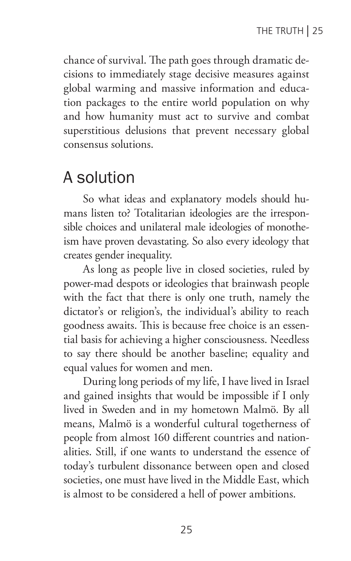chance of survival. The path goes through dramatic decisions to immediately stage decisive measures against global warming and massive information and education packages to the entire world population on why and how humanity must act to survive and combat superstitious delusions that prevent necessary global consensus solutions.

## A solution

So what ideas and explanatory models should humans listen to? Totalitarian ideologies are the irresponsible choices and unilateral male ideologies of monotheism have proven devastating. So also every ideology that creates gender inequality.

As long as people live in closed societies, ruled by power-mad despots or ideologies that brainwash people with the fact that there is only one truth, namely the dictator's or religion's, the individual's ability to reach goodness awaits. This is because free choice is an essential basis for achieving a higher consciousness. Needless to say there should be another baseline; equality and equal values for women and men.

During long periods of my life, I have lived in Israel and gained insights that would be impossible if I only lived in Sweden and in my hometown Malmö. By all means, Malmö is a wonderful cultural togetherness of people from almost 160 different countries and nationalities. Still, if one wants to understand the essence of today's turbulent dissonance between open and closed societies, one must have lived in the Middle East, which is almost to be considered a hell of power ambitions.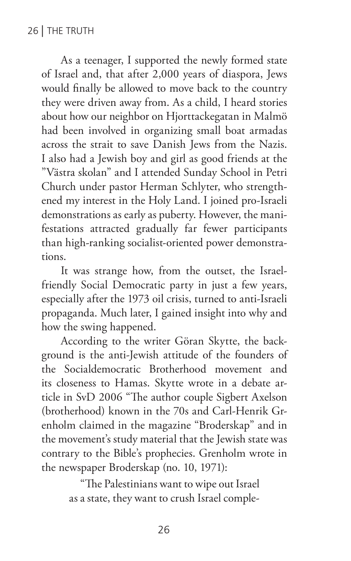As a teenager, I supported the newly formed state of Israel and, that after 2,000 years of diaspora, Jews would finally be allowed to move back to the country they were driven away from. As a child, I heard stories about how our neighbor on Hjorttackegatan in Malmö had been involved in organizing small boat armadas across the strait to save Danish Jews from the Nazis. I also had a Jewish boy and girl as good friends at the "Västra skolan" and I attended Sunday School in Petri Church under pastor Herman Schlyter, who strengthened my interest in the Holy Land. I joined pro-Israeli demonstrations as early as puberty. However, the manifestations attracted gradually far fewer participants than high-ranking socialist-oriented power demonstrations.

It was strange how, from the outset, the Israelfriendly Social Democratic party in just a few years, especially after the 1973 oil crisis, turned to anti-Israeli propaganda. Much later, I gained insight into why and how the swing happened.

According to the writer Göran Skytte, the background is the anti-Jewish attitude of the founders of the Socialdemocratic Brotherhood movement and its closeness to Hamas. Skytte wrote in a debate article in SvD 2006 "The author couple Sigbert Axelson (brotherhood) known in the 70s and Carl-Henrik Grenholm claimed in the magazine "Broderskap" and in the movement's study material that the Jewish state was contrary to the Bible's prophecies. Grenholm wrote in the newspaper Broderskap (no. 10, 1971):

> "The Palestinians want to wipe out Israel as a state, they want to crush Israel comple-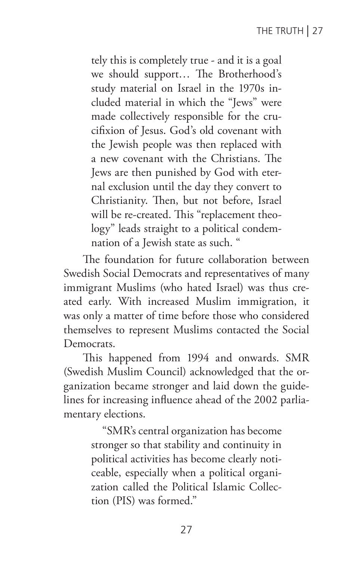tely this is completely true - and it is a goal we should support… The Brotherhood's study material on Israel in the 1970s included material in which the "Jews" were made collectively responsible for the crucifixion of Jesus. God's old covenant with the Jewish people was then replaced with a new covenant with the Christians. The Jews are then punished by God with eternal exclusion until the day they convert to Christianity. Then, but not before, Israel will be re-created. This "replacement theology" leads straight to a political condemnation of a Jewish state as such. "

The foundation for future collaboration between Swedish Social Democrats and representatives of many immigrant Muslims (who hated Israel) was thus created early. With increased Muslim immigration, it was only a matter of time before those who considered themselves to represent Muslims contacted the Social Democrats.

This happened from 1994 and onwards. SMR (Swedish Muslim Council) acknowledged that the organization became stronger and laid down the guidelines for increasing influence ahead of the 2002 parliamentary elections.

> "SMR's central organization has become stronger so that stability and continuity in political activities has become clearly noticeable, especially when a political organization called the Political Islamic Collection (PIS) was formed."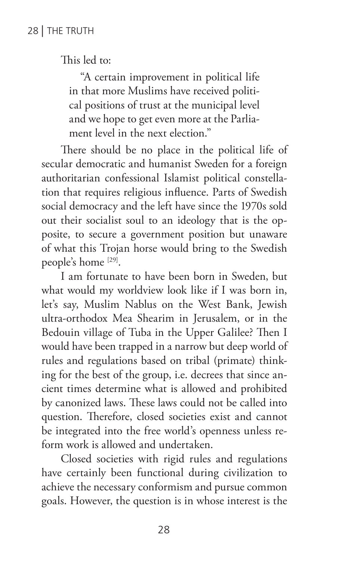This led to:

"A certain improvement in political life in that more Muslims have received political positions of trust at the municipal level and we hope to get even more at the Parliament level in the next election."

There should be no place in the political life of secular democratic and humanist Sweden for a foreign authoritarian confessional Islamist political constellation that requires religious influence. Parts of Swedish social democracy and the left have since the 1970s sold out their socialist soul to an ideology that is the opposite, to secure a government position but unaware of what this Trojan horse would bring to the Swedish people's home [29].

I am fortunate to have been born in Sweden, but what would my worldview look like if I was born in, let's say, Muslim Nablus on the West Bank, Jewish ultra-orthodox Mea Shearim in Jerusalem, or in the Bedouin village of Tuba in the Upper Galilee? Then I would have been trapped in a narrow but deep world of rules and regulations based on tribal (primate) thinking for the best of the group, i.e. decrees that since ancient times determine what is allowed and prohibited by canonized laws. These laws could not be called into question. Therefore, closed societies exist and cannot be integrated into the free world's openness unless reform work is allowed and undertaken.

Closed societies with rigid rules and regulations have certainly been functional during civilization to achieve the necessary conformism and pursue common goals. However, the question is in whose interest is the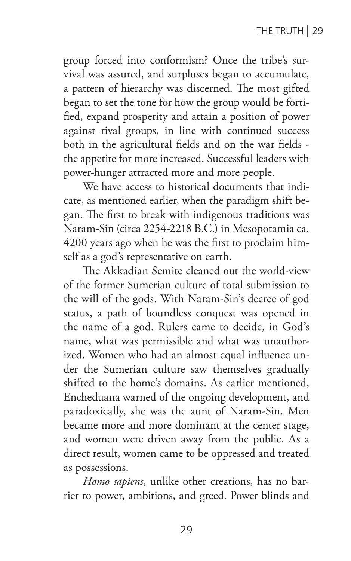group forced into conformism? Once the tribe's survival was assured, and surpluses began to accumulate, a pattern of hierarchy was discerned. The most gifted began to set the tone for how the group would be fortified, expand prosperity and attain a position of power against rival groups, in line with continued success both in the agricultural fields and on the war fields the appetite for more increased. Successful leaders with power-hunger attracted more and more people.

We have access to historical documents that indicate, as mentioned earlier, when the paradigm shift began. The first to break with indigenous traditions was Naram-Sin (circa 2254-2218 B.C.) in Mesopotamia ca. 4200 years ago when he was the first to proclaim himself as a god's representative on earth.

The Akkadian Semite cleaned out the world-view of the former Sumerian culture of total submission to the will of the gods. With Naram-Sin's decree of god status, a path of boundless conquest was opened in the name of a god. Rulers came to decide, in God's name, what was permissible and what was unauthorized. Women who had an almost equal influence under the Sumerian culture saw themselves gradually shifted to the home's domains. As earlier mentioned, Encheduana warned of the ongoing development, and paradoxically, she was the aunt of Naram-Sin. Men became more and more dominant at the center stage, and women were driven away from the public. As a direct result, women came to be oppressed and treated as possessions.

*Homo sapiens*, unlike other creations, has no barrier to power, ambitions, and greed. Power blinds and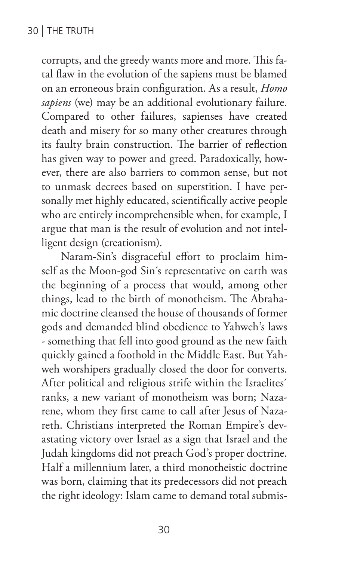corrupts, and the greedy wants more and more. This fatal flaw in the evolution of the sapiens must be blamed on an erroneous brain configuration. As a result, *Homo sapiens* (we) may be an additional evolutionary failure. Compared to other failures, sapienses have created death and misery for so many other creatures through its faulty brain construction. The barrier of reflection has given way to power and greed. Paradoxically, however, there are also barriers to common sense, but not to unmask decrees based on superstition. I have personally met highly educated, scientifically active people who are entirely incomprehensible when, for example, I argue that man is the result of evolution and not intelligent design (creationism).

Naram-Sin's disgraceful effort to proclaim himself as the Moon-god Sin´s representative on earth was the beginning of a process that would, among other things, lead to the birth of monotheism. The Abrahamic doctrine cleansed the house of thousands of former gods and demanded blind obedience to Yahweh's laws - something that fell into good ground as the new faith quickly gained a foothold in the Middle East. But Yahweh worshipers gradually closed the door for converts. After political and religious strife within the Israelites´ ranks, a new variant of monotheism was born; Nazarene, whom they first came to call after Jesus of Nazareth. Christians interpreted the Roman Empire's devastating victory over Israel as a sign that Israel and the Judah kingdoms did not preach God's proper doctrine. Half a millennium later, a third monotheistic doctrine was born, claiming that its predecessors did not preach the right ideology: Islam came to demand total submis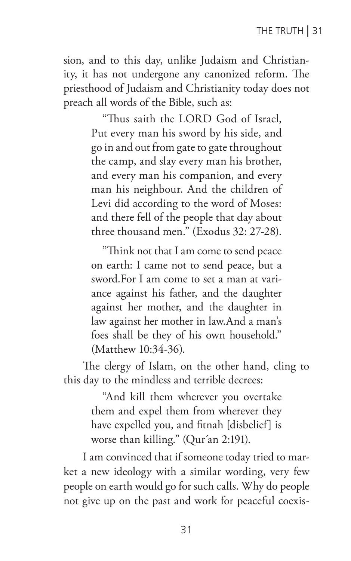sion, and to this day, unlike Judaism and Christianity, it has not undergone any canonized reform. The priesthood of Judaism and Christianity today does not preach all words of the Bible, such as:

> "Thus saith the LORD God of Israel, Put every man his sword by his side, and go in and out from gate to gate throughout the camp, and slay every man his brother, and every man his companion, and every man his neighbour. And the children of Levi did according to the word of Moses: and there fell of the people that day about three thousand men." (Exodus 32: 27-28).

> "Think not that I am come to send peace on earth: I came not to send peace, but a sword.For I am come to set a man at variance against his father, and the daughter against her mother, and the daughter in law against her mother in law.And a man's foes shall be they of his own household." (Matthew 10:34-36).

The clergy of Islam, on the other hand, cling to this day to the mindless and terrible decrees:

> "And kill them wherever you overtake them and expel them from wherever they have expelled you, and fitnah [disbelief] is worse than killing." (Qur´an 2:191).

I am convinced that if someone today tried to market a new ideology with a similar wording, very few people on earth would go for such calls. Why do people not give up on the past and work for peaceful coexis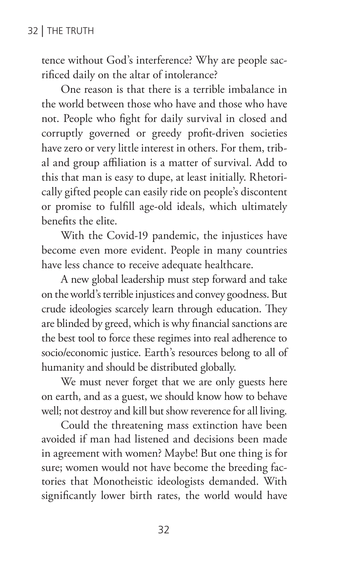tence without God's interference? Why are people sacrificed daily on the altar of intolerance?

One reason is that there is a terrible imbalance in the world between those who have and those who have not. People who fight for daily survival in closed and corruptly governed or greedy profit-driven societies have zero or very little interest in others. For them, tribal and group affiliation is a matter of survival. Add to this that man is easy to dupe, at least initially. Rhetorically gifted people can easily ride on people's discontent or promise to fulfill age-old ideals, which ultimately benefits the elite.

With the Covid-19 pandemic, the injustices have become even more evident. People in many countries have less chance to receive adequate healthcare.

A new global leadership must step forward and take on the world's terrible injustices and convey goodness. But crude ideologies scarcely learn through education. They are blinded by greed, which is why financial sanctions are the best tool to force these regimes into real adherence to socio/economic justice. Earth's resources belong to all of humanity and should be distributed globally.

We must never forget that we are only guests here on earth, and as a guest, we should know how to behave well; not destroy and kill but show reverence for all living.

Could the threatening mass extinction have been avoided if man had listened and decisions been made in agreement with women? Maybe! But one thing is for sure; women would not have become the breeding factories that Monotheistic ideologists demanded. With significantly lower birth rates, the world would have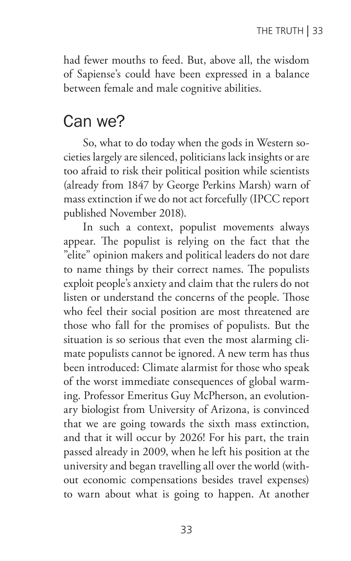had fewer mouths to feed. But, above all, the wisdom of Sapiense's could have been expressed in a balance between female and male cognitive abilities.

#### Can we?

So, what to do today when the gods in Western societies largely are silenced, politicians lack insights or are too afraid to risk their political position while scientists (already from 1847 by George Perkins Marsh) warn of mass extinction if we do not act forcefully (IPCC report published November 2018).

In such a context, populist movements always appear. The populist is relying on the fact that the "elite" opinion makers and political leaders do not dare to name things by their correct names. The populists exploit people's anxiety and claim that the rulers do not listen or understand the concerns of the people. Those who feel their social position are most threatened are those who fall for the promises of populists. But the situation is so serious that even the most alarming climate populists cannot be ignored. A new term has thus been introduced: Climate alarmist for those who speak of the worst immediate consequences of global warming. Professor Emeritus Guy McPherson, an evolutionary biologist from University of Arizona, is convinced that we are going towards the sixth mass extinction, and that it will occur by 2026! For his part, the train passed already in 2009, when he left his position at the university and began travelling all over the world (without economic compensations besides travel expenses) to warn about what is going to happen. At another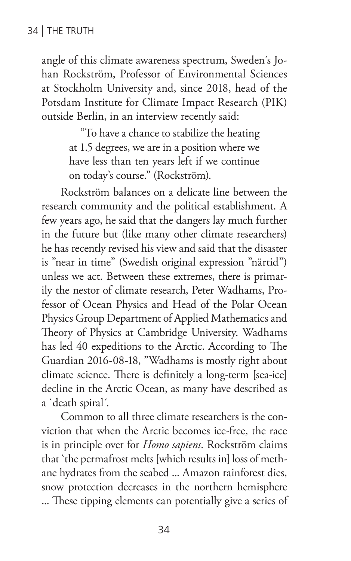angle of this climate awareness spectrum, Sweden´s Johan Rockström, Professor of Environmental Sciences at Stockholm University and, since 2018, head of the Potsdam Institute for Climate Impact Research (PIK) outside Berlin, in an interview recently said:

> "To have a chance to stabilize the heating at 1.5 degrees, we are in a position where we have less than ten years left if we continue on today's course." (Rockström).

Rockström balances on a delicate line between the research community and the political establishment. A few years ago, he said that the dangers lay much further in the future but (like many other climate researchers) he has recently revised his view and said that the disaster is "near in time" (Swedish original expression "närtid") unless we act. Between these extremes, there is primarily the nestor of climate research, Peter Wadhams, Professor of Ocean Physics and Head of the Polar Ocean Physics Group Department of Applied Mathematics and Theory of Physics at Cambridge University. Wadhams has led 40 expeditions to the Arctic. According to The Guardian 2016-08-18, "Wadhams is mostly right about climate science. There is definitely a long-term [sea-ice] decline in the Arctic Ocean, as many have described as a `death spiral´.

Common to all three climate researchers is the conviction that when the Arctic becomes ice-free, the race is in principle over for *Homo sapiens*. Rockström claims that `the permafrost melts [which results in] loss of methane hydrates from the seabed ... Amazon rainforest dies, snow protection decreases in the northern hemisphere ... These tipping elements can potentially give a series of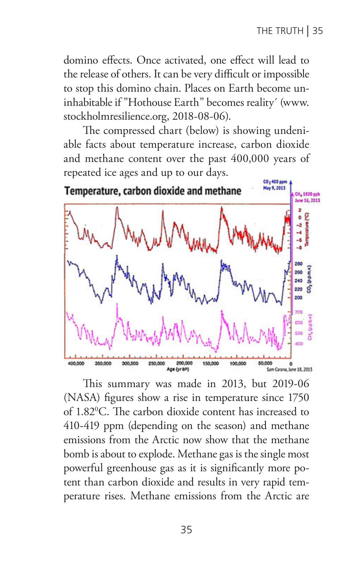domino effects. Once activated, one effect will lead to the release of others. It can be very difficult or impossible to stop this domino chain. Places on Earth become uninhabitable if "Hothouse Earth" becomes reality´ (www. stockholmresilience.org, 2018-08-06).

The compressed chart (below) is showing undeniable facts about temperature increase, carbon dioxide and methane content over the past 400,000 years of repeated ice ages and up to our days.



This summary was made in 2013, but 2019-06 (NASA) figures show a rise in temperature since 1750 of 1.820 C. The carbon dioxide content has increased to 410-419 ppm (depending on the season) and methane emissions from the Arctic now show that the methane bomb is about to explode. Methane gas is the single most powerful greenhouse gas as it is significantly more potent than carbon dioxide and results in very rapid temperature rises. Methane emissions from the Arctic are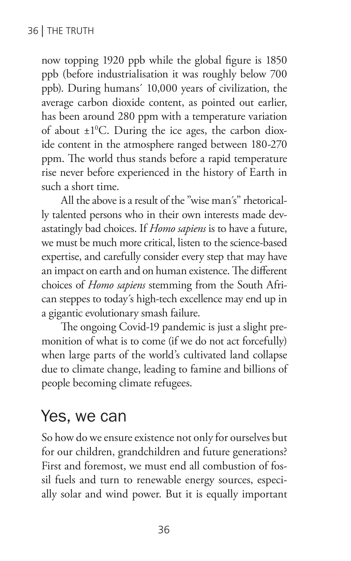now topping 1920 ppb while the global figure is 1850 ppb (before industrialisation it was roughly below 700 ppb). During humans´ 10,000 years of civilization, the average carbon dioxide content, as pointed out earlier, has been around 280 ppm with a temperature variation of about  $\pm 1^0$ C. During the ice ages, the carbon dioxide content in the atmosphere ranged between 180-270 ppm. The world thus stands before a rapid temperature rise never before experienced in the history of Earth in such a short time.

All the above is a result of the "wise man´s" rhetorically talented persons who in their own interests made devastatingly bad choices. If *Homo sapiens* is to have a future, we must be much more critical, listen to the science-based expertise, and carefully consider every step that may have an impact on earth and on human existence. The different choices of *Homo sapiens* stemming from the South African steppes to today´s high-tech excellence may end up in a gigantic evolutionary smash failure.

The ongoing Covid-19 pandemic is just a slight premonition of what is to come (if we do not act forcefully) when large parts of the world's cultivated land collapse due to climate change, leading to famine and billions of people becoming climate refugees.

## Yes, we can

So how do we ensure existence not only for ourselves but for our children, grandchildren and future generations? First and foremost, we must end all combustion of fossil fuels and turn to renewable energy sources, especially solar and wind power. But it is equally important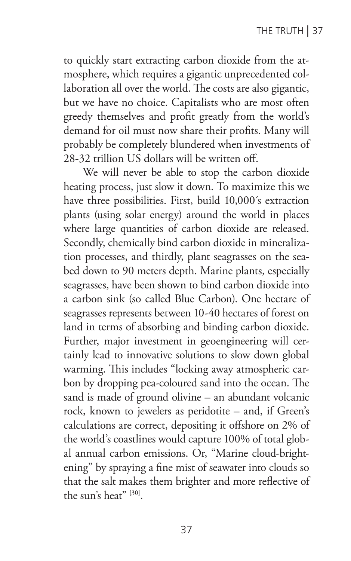to quickly start extracting carbon dioxide from the atmosphere, which requires a gigantic unprecedented collaboration all over the world. The costs are also gigantic, but we have no choice. Capitalists who are most often greedy themselves and profit greatly from the world's demand for oil must now share their profits. Many will probably be completely blundered when investments of 28-32 trillion US dollars will be written off.

We will never be able to stop the carbon dioxide heating process, just slow it down. To maximize this we have three possibilities. First, build 10,000´s extraction plants (using solar energy) around the world in places where large quantities of carbon dioxide are released. Secondly, chemically bind carbon dioxide in mineralization processes, and thirdly, plant seagrasses on the seabed down to 90 meters depth. Marine plants, especially seagrasses, have been shown to bind carbon dioxide into a carbon sink (so called Blue Carbon). One hectare of seagrasses represents between 10-40 hectares of forest on land in terms of absorbing and binding carbon dioxide. Further, major investment in geoengineering will certainly lead to innovative solutions to slow down global warming. This includes "locking away atmospheric carbon by dropping pea-coloured sand into the ocean. The sand is made of ground olivine – an abundant volcanic rock, known to jewelers as peridotite – and, if Green's calculations are correct, depositing it offshore on 2% of the world's coastlines would capture 100% of total global annual carbon emissions. Or, "Marine cloud-brightening" by spraying a fine mist of seawater into clouds so that the salt makes them brighter and more reflective of the sun's heat" [30].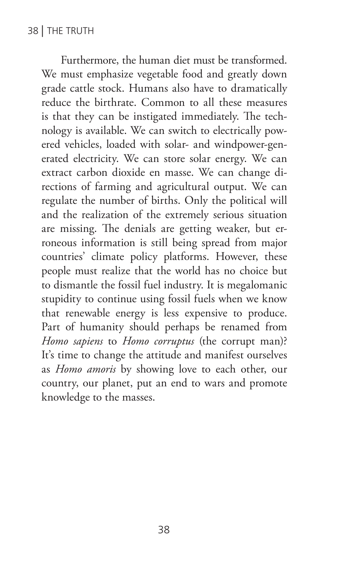Furthermore, the human diet must be transformed. We must emphasize vegetable food and greatly down grade cattle stock. Humans also have to dramatically reduce the birthrate. Common to all these measures is that they can be instigated immediately. The technology is available. We can switch to electrically powered vehicles, loaded with solar- and windpower-generated electricity. We can store solar energy. We can extract carbon dioxide en masse. We can change directions of farming and agricultural output. We can regulate the number of births. Only the political will and the realization of the extremely serious situation are missing. The denials are getting weaker, but erroneous information is still being spread from major countries' climate policy platforms. However, these people must realize that the world has no choice but to dismantle the fossil fuel industry. It is megalomanic stupidity to continue using fossil fuels when we know that renewable energy is less expensive to produce. Part of humanity should perhaps be renamed from *Homo sapiens* to *Homo corruptus* (the corrupt man)? It's time to change the attitude and manifest ourselves as *Homo amoris* by showing love to each other, our country, our planet, put an end to wars and promote knowledge to the masses.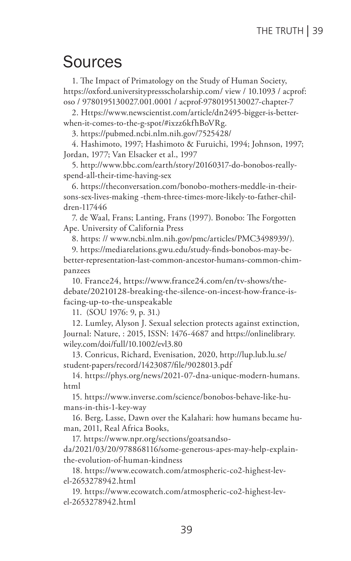#### Sources

1. The Impact of Primatology on the Study of Human Society, https://oxford.universitypressscholarship.com/ view / 10.1093 / acprof: oso / 9780195130027.001.0001 / acprof-9780195130027-chapter-7

2. Https://www.newscientist.com/article/dn2495-bigger-is-betterwhen-it-comes-to-the-g-spot/#ixzz6kfhBoVRg.

3. https://pubmed.ncbi.nlm.nih.gov/7525428/

4. Hashimoto, 1997; Hashimoto & Furuichi, 1994; Johnson, 1997; Jordan, 1977; Van Elsacker et al., 1997

5. http://www.bbc.com/earth/story/20160317-do-bonobos-reallyspend-all-their-time-having-sex

6. https://theconversation.com/bonobo-mothers-meddle-in-theirsons-sex-lives-making -them-three-times-more-likely-to-father-children-117446

7. de Waal, Frans; Lanting, Frans (1997). Bonobo: The Forgotten Ape. University of California Press

8. https: // www.ncbi.nlm.nih.gov/pmc/articles/PMC3498939/).

9. https://mediarelations.gwu.edu/study-finds-bonobos-may-bebetter-representation-last-common-ancestor-humans-common-chimpanzees

10. France24, https://www.france24.com/en/tv-shows/thedebate/20210128-breaking-the-silence-on-incest-how-france-isfacing-up-to-the-unspeakable

11. (SOU 1976: 9, p. 31.)

12. Lumley, Alyson J. Sexual selection protects against extinction, Journal: Nature, : 2015, ISSN: 1476-4687 and https://onlinelibrary. wiley.com/doi/full/10.1002/evl3.80

13. Conricus, Richard, Evenisation, 2020, http://lup.lub.lu.se/ student-papers/record/1423087/file/9028013.pdf

14. https://phys.org/news/2021-07-dna-unique-modern-humans. html

15. https://www.inverse.com/science/bonobos-behave-like-humans-in-this-1-key-way

16. Berg, Lasse, Dawn over the Kalahari: how humans became human, 2011, Real Africa Books,

17. https://www.npr.org/sections/goatsandso-

da/2021/03/20/978868116/some-generous-apes-may-help-explainthe-evolution-of-human-kindness

18. https://www.ecowatch.com/atmospheric-co2-highest-level-2653278942.html

19. https://www.ecowatch.com/atmospheric-co2-highest-level-2653278942.html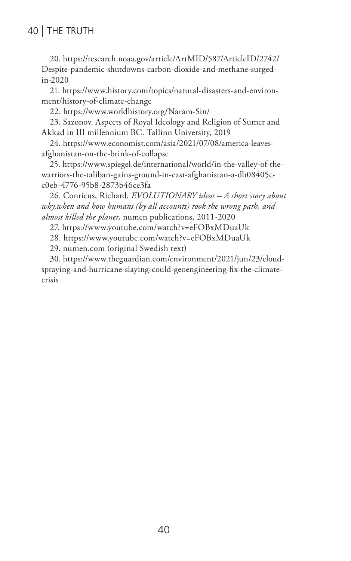#### 40 | THE TRUTH

20. https://research.noaa.gov/article/ArtMID/587/ArticleID/2742/ Despite-pandemic-shutdowns-carbon-dioxide-and-methane-surgedin-2020

21. https://www.history.com/topics/natural-disasters-and-environment/history-of-climate-change

22. https://www.worldhistory.org/Naram-Sin/

23. Sazonov. Aspects of Royal Ideology and Religion of Sumer and Akkad in III millennium BC. Tallinn University, 2019

24. https://www.economist.com/asia/2021/07/08/america-leavesafghanistan-on-the-brink-of-collapse

25. https://www.spiegel.de/international/world/in-the-valley-of-thewarriors-the-taliban-gains-ground-in-east-afghanistan-a-db08405cc0eb-4776-95b8-2873b46ce3fa

26. Conricus, Richard, *EVOLUTIONARY ideas – A short story about why,when and how humans (by all accounts) took the wrong path, and almost killed the planet*, numen publications, 2011-2020

27. https://www.youtube.com/watch?v=eFOBxMDuaUk

28. https://www.youtube.com/watch?v=eFOBxMDuaUk

29. numen.com (original Swedish text)

30. https://www.theguardian.com/environment/2021/jun/23/cloudspraying-and-hurricane-slaying-could-geoengineering-fix-the-climatecrisis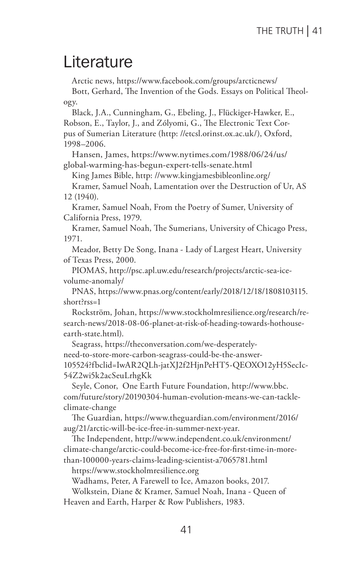### Literature

Arctic news, https://www.facebook.com/groups/arcticnews/

Bott, Gerhard, The Invention of the Gods. Essays on Political Theology.

Black, J.A., Cunningham, G., Ebeling, J., Flückiger-Hawker, E., Robson, E., Taylor, J., and Zólyomi, G., The Electronic Text Corpus of Sumerian Literature (http: //etcsl.orinst.ox.ac.uk/), Oxford, 1998–2006.

Hansen, James, https://www.nytimes.com/1988/06/24/us/ global-warming-has-begun-expert-tells-senate.html

King James Bible, http: //www.kingjamesbibleonline.org/

Kramer, Samuel Noah, Lamentation over the Destruction of Ur, AS 12 (1940).

Kramer, Samuel Noah, From the Poetry of Sumer, University of California Press, 1979.

Kramer, Samuel Noah, The Sumerians, University of Chicago Press, 1971.

Meador, Betty De Song, Inana - Lady of Largest Heart, University of Texas Press, 2000.

PIOMAS, http://psc.apl.uw.edu/research/projects/arctic-sea-icevolume-anomaly/

PNAS, https://www.pnas.org/content/early/2018/12/18/1808103115. short?rss=1

Rockström, Johan, https://www.stockholmresilience.org/research/research-news/2018-08-06-planet-at-risk-of-heading-towards-hothouseearth-state.html).

Seagrass, https://theconversation.com/we-desperatelyneed-to-store-more-carbon-seagrass-could-be-the-answer-105524?fbclid=IwAR2QLh-jatXJ2f2HjnPeHT5-QEOXO12yH5SecIc-54Z2wi5k2acSeuLrhgKk

Seyle, Conor, One Earth Future Foundation, http://www.bbc. com/future/story/20190304-human-evolution-means-we-can-tackleclimate-change

The Guardian, https://www.theguardian.com/environment/2016/ aug/21/arctic-will-be-ice-free-in-summer-next-year.

The Independent, http://www.independent.co.uk/environment/ climate-change/arctic-could-become-ice-free-for-first-time-in-morethan-100000-years-claims-leading-scientist-a7065781.html

https://www.stockholmresilience.org

Wadhams, Peter, A Farewell to Ice, Amazon books, 2017.

Wolkstein, Diane & Kramer, Samuel Noah, Inana - Queen of Heaven and Earth, Harper & Row Publishers, 1983.